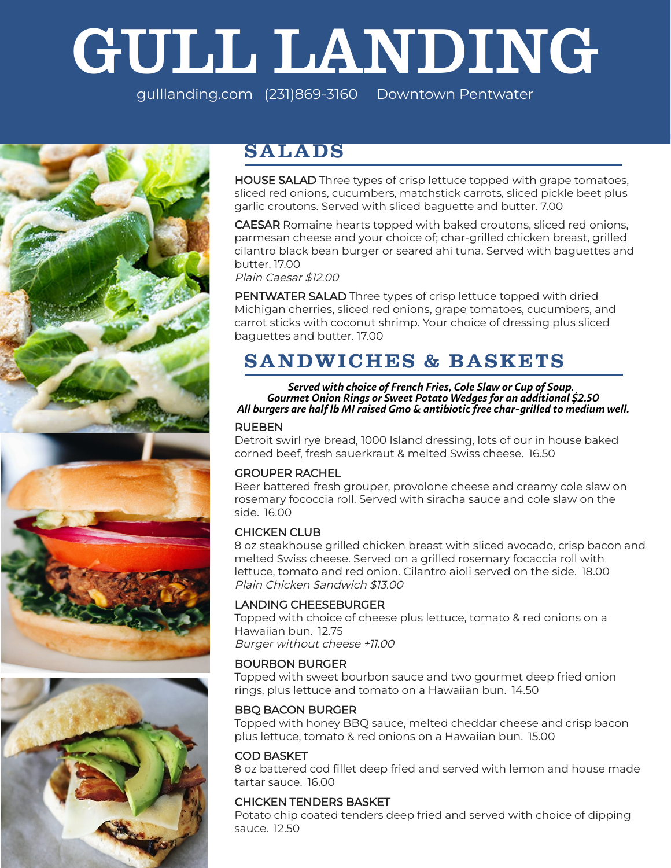# GULL LANDING

gulllanding.com (231)869-3160 Downtown Pentwater





# **SALADS**

HOUSE SALAD Three types of crisp lettuce topped with grape tomatoes, sliced red onions, cucumbers, matchstick carrots, sliced pickle beet plus garlic croutons. Served with sliced baguette and butter. 7.00

CAESAR Romaine hearts topped with baked croutons, sliced red onions, parmesan cheese and your choice of; char-grilled chicken breast, grilled cilantro black bean burger or seared ahi tuna. Served with baguettes and butter. 17.00

Plain Caesar \$12.00

PENTWATER SALAD Three types of crisp lettuce topped with dried Michigan cherries, sliced red onions, grape tomatoes, cucumbers, and carrot sticks with coconut shrimp. Your choice of dressing plus sliced baguettes and butter. 17.00

# **SANDWICHES & BASKETS**

*Served with choice of French Fries, Cole Slaw or Cup of Soup. Gourmet Onion Rings or Sweet Potato Wedges for an additional \$2.50 All burgers are half lb MI raised Gmo & antibiotic free char-grilled to medium well.*

## RUEBEN

Detroit swirl rye bread, 1000 Island dressing, lots of our in house baked corned beef, fresh sauerkraut & melted Swiss cheese. 16.50

# GROUPER RACHEL

Beer battered fresh grouper, provolone cheese and creamy cole slaw on rosemary fococcia roll. Served with siracha sauce and cole slaw on the side. 16.00

## CHICKEN CLUB

8 oz steakhouse grilled chicken breast with sliced avocado, crisp bacon and melted Swiss cheese. Served on a grilled rosemary focaccia roll with lettuce, tomato and red onion. Cilantro aioli served on the side. 18.00 Plain Chicken Sandwich \$13.00

# LANDING CHEESEBURGER

Topped with choice of cheese plus lettuce, tomato & red onions on a Hawaiian bun. 12.75 Burger without cheese +11.00

## BOURBON BURGER

Topped with sweet bourbon sauce and two gourmet deep fried onion rings, plus lettuce and tomato on a Hawaiian bun. 14.50

## BBQ BACON BURGER

Topped with honey BBQ sauce, melted cheddar cheese and crisp bacon plus lettuce, tomato & red onions on a Hawaiian bun. 15.00

## COD BASKET

8 oz battered cod fillet deep fried and served with lemon and house made tartar sauce. 16.00

# CHICKEN TENDERS BASKET

Potato chip coated tenders deep fried and served with choice of dipping sauce. 12.50